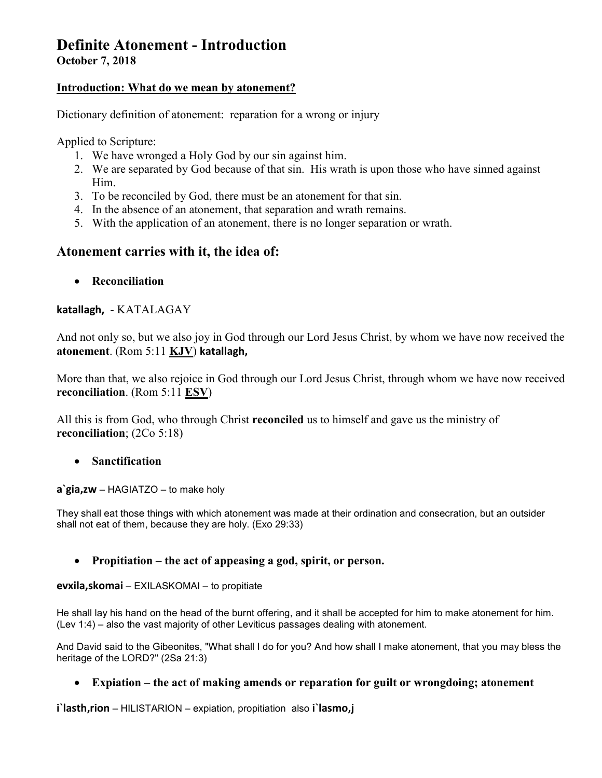# **Definite Atonement - Introduction**

**October 7, 2018** 

#### **Introduction: What do we mean by atonement?**

Dictionary definition of atonement: reparation for a wrong or injury

Applied to Scripture:

- 1. We have wronged a Holy God by our sin against him.
- 2. We are separated by God because of that sin. His wrath is upon those who have sinned against Him.
- 3. To be reconciled by God, there must be an atonement for that sin.
- 4. In the absence of an atonement, that separation and wrath remains.
- 5. With the application of an atonement, there is no longer separation or wrath.

## **Atonement carries with it, the idea of:**

**Reconciliation** 

#### **katallagh,** - KATALAGAY

And not only so, but we also joy in God through our Lord Jesus Christ, by whom we have now received the **atonement**. (Rom 5:11 **KJV**) **katallagh,** 

More than that, we also rejoice in God through our Lord Jesus Christ, through whom we have now received **reconciliation**. (Rom 5:11 **ESV**)

All this is from God, who through Christ **reconciled** us to himself and gave us the ministry of **reconciliation**; (2Co 5:18)

#### **Sanctification**

#### **a`gia,zw** – HAGIATZO – to make holy

They shall eat those things with which atonement was made at their ordination and consecration, but an outsider shall not eat of them, because they are holy. (Exo 29:33)

#### **Propitiation – the act of appeasing a god, spirit, or person.**

#### **evxila,skomai** – EXILASKOMAI – to propitiate

He shall lay his hand on the head of the burnt offering, and it shall be accepted for him to make atonement for him. (Lev 1:4) – also the vast majority of other Leviticus passages dealing with atonement.

And David said to the Gibeonites, "What shall I do for you? And how shall I make atonement, that you may bless the heritage of the LORD?" (2Sa 21:3)

#### **Expiation – the act of making amends or reparation for guilt or wrongdoing; atonement**

**i`lasth,rion** – HILISTARION – expiation, propitiation also **i`lasmo,j**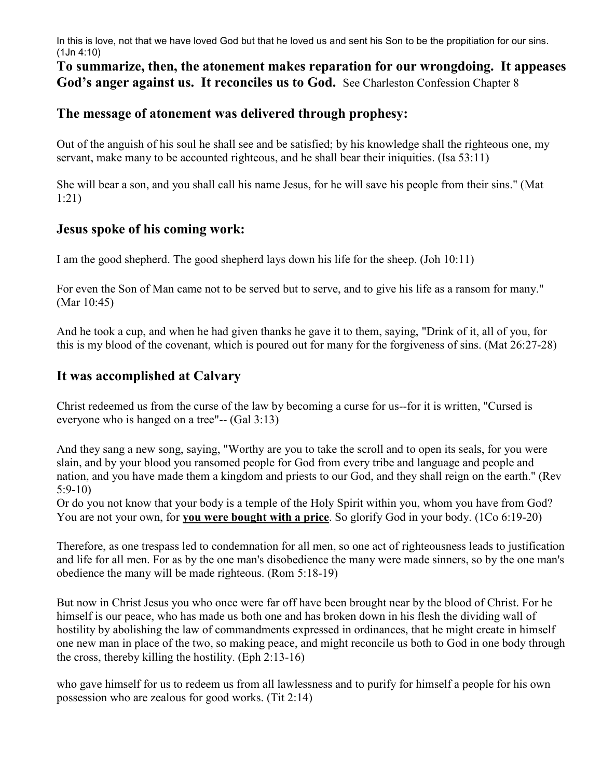In this is love, not that we have loved God but that he loved us and sent his Son to be the propitiation for our sins. (1Jn 4:10)

## **To summarize, then, the atonement makes reparation for our wrongdoing. It appeases God's anger against us. It reconciles us to God.** See Charleston Confession Chapter 8

#### **The message of atonement was delivered through prophesy:**

Out of the anguish of his soul he shall see and be satisfied; by his knowledge shall the righteous one, my servant, make many to be accounted righteous, and he shall bear their iniquities. (Isa 53:11)

She will bear a son, and you shall call his name Jesus, for he will save his people from their sins." (Mat 1:21)

#### **Jesus spoke of his coming work:**

I am the good shepherd. The good shepherd lays down his life for the sheep. (Joh 10:11)

For even the Son of Man came not to be served but to serve, and to give his life as a ransom for many." (Mar 10:45)

And he took a cup, and when he had given thanks he gave it to them, saying, "Drink of it, all of you, for this is my blood of the covenant, which is poured out for many for the forgiveness of sins. (Mat 26:27-28)

## **It was accomplished at Calvary**

Christ redeemed us from the curse of the law by becoming a curse for us--for it is written, "Cursed is everyone who is hanged on a tree"-- (Gal 3:13)

And they sang a new song, saying, "Worthy are you to take the scroll and to open its seals, for you were slain, and by your blood you ransomed people for God from every tribe and language and people and nation, and you have made them a kingdom and priests to our God, and they shall reign on the earth." (Rev 5:9-10)

Or do you not know that your body is a temple of the Holy Spirit within you, whom you have from God? You are not your own, for **you were bought with a price**. So glorify God in your body. (1Co 6:19-20)

Therefore, as one trespass led to condemnation for all men, so one act of righteousness leads to justification and life for all men. For as by the one man's disobedience the many were made sinners, so by the one man's obedience the many will be made righteous. (Rom 5:18-19)

But now in Christ Jesus you who once were far off have been brought near by the blood of Christ. For he himself is our peace, who has made us both one and has broken down in his flesh the dividing wall of hostility by abolishing the law of commandments expressed in ordinances, that he might create in himself one new man in place of the two, so making peace, and might reconcile us both to God in one body through the cross, thereby killing the hostility. (Eph 2:13-16)

who gave himself for us to redeem us from all lawlessness and to purify for himself a people for his own possession who are zealous for good works. (Tit 2:14)